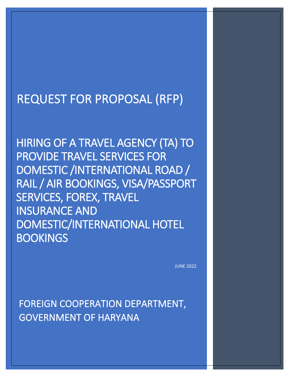# REQUEST FOR PROPOSAL (RFP)

HIRING OF A TRAVEL AGENCY (TA) TO PROVIDE TRAVEL SERVICES FOR DOMESTIC /INTERNATIONAL ROAD / RAIL / AIR BOOKINGS, VISA/PASSPORT SERVICES, FOREX, TRAVEL INSURANCE AND DOMESTIC/INTERNATIONAL HOTEL **BOOKINGS** 

JUNE 2022

FOREIGN COOPERATION DEPARTMENT, GOVERNMENT OF HARYANA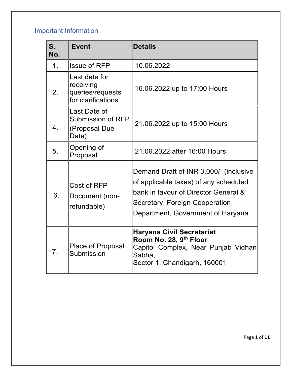## <span id="page-1-0"></span>Important Information

| S.<br>No.      | <b>Event</b>                                                         | <b>Details</b>                                                                                                                                                                                 |
|----------------|----------------------------------------------------------------------|------------------------------------------------------------------------------------------------------------------------------------------------------------------------------------------------|
| 1 <sub>1</sub> | <b>Issue of RFP</b>                                                  | 10.06.2022                                                                                                                                                                                     |
| 2.             | Last date for<br>receiving<br>queries/requests<br>for clarifications | 16.06.2022 up to 17:00 Hours                                                                                                                                                                   |
| 4.             | Last Date of<br>Submission of RFP<br>(Proposal Due<br>Date)          | 21.06.2022 up to 15:00 Hours                                                                                                                                                                   |
| 5.             | Opening of<br>Proposal                                               | 21.06.2022 after 16:00 Hours                                                                                                                                                                   |
| 6.             | Cost of RFP<br>Document (non-<br>refundable)                         | Demand Draft of INR 3,000/- (inclusive<br>of applicable taxes) of any scheduled<br>bank in favour of Director General &<br>Secretary, Foreign Cooperation<br>Department, Government of Haryana |
| 7.             | <b>Place of Proposal</b><br>Submission                               | <b>Haryana Civil Secretariat</b><br>Room No. 28, 9 <sup>th</sup> Floor<br>Capitol Complex, Near Punjab Vidhan<br>Sabha,<br>Sector 1, Chandigarh, 160001                                        |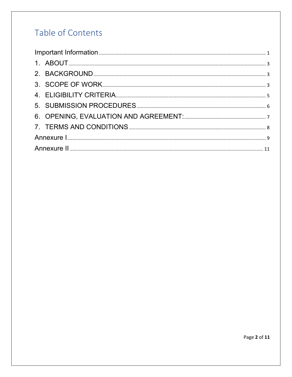## Table of Contents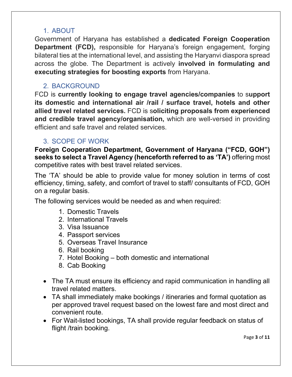#### 1. ABOUT

<span id="page-3-0"></span>Government of Haryana has established a **dedicated Foreign Cooperation Department (FCD),** responsible for Haryana's foreign engagement, forging bilateral ties at the international level, and assisting the Haryanvi diaspora spread across the globe. The Department is actively **involved in formulating and executing strategies for boosting exports** from Haryana.

#### <span id="page-3-1"></span>2. BACKGROUND

FCD is **currently looking to engage travel agencies/companies** to s**upport its domestic and international air /rail / surface travel, hotels and other allied travel related services.** FCD is s**oliciting proposals from experienced and credible travel agency/organisation,** which are well-versed in providing efficient and safe travel and related services.

#### <span id="page-3-2"></span>3. SCOPE OF WORK

**Foreign Cooperation Department, Government of Haryana ("FCD, GOH") seeks to select a Travel Agency (henceforth referred to as 'TA')** offering most competitive rates with best travel related services.

The 'TA' should be able to provide value for money solution in terms of cost efficiency, timing, safety, and comfort of travel to staff/ consultants of FCD, GOH on a regular basis.

The following services would be needed as and when required:

- 1. Domestic Travels
- 2. International Travels
- 3. Visa Issuance
- 4. Passport services
- 5. Overseas Travel Insurance
- 6. Rail booking
- 7. Hotel Booking both domestic and international
- 8. Cab Booking
- The TA must ensure its efficiency and rapid communication in handling all travel related matters.
- TA shall immediately make bookings / itineraries and formal quotation as per approved travel request based on the lowest fare and most direct and convenient route.
- For Wait-listed bookings, TA shall provide regular feedback on status of flight /train booking.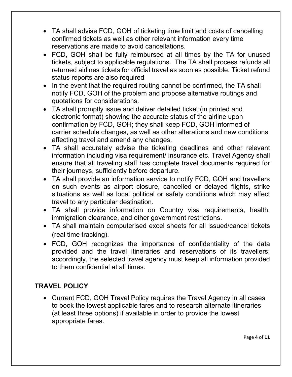- TA shall advise FCD, GOH of ticketing time limit and costs of cancelling confirmed tickets as well as other relevant information every time reservations are made to avoid cancellations.
- FCD, GOH shall be fully reimbursed at all times by the TA for unused tickets, subject to applicable regulations. The TA shall process refunds all returned airlines tickets for official travel as soon as possible. Ticket refund status reports are also required
- In the event that the required routing cannot be confirmed, the TA shall notify FCD, GOH of the problem and propose alternative routings and quotations for considerations.
- TA shall promptly issue and deliver detailed ticket (in printed and electronic format) showing the accurate status of the airline upon confirmation by FCD, GOH; they shall keep FCD, GOH informed of carrier schedule changes, as well as other alterations and new conditions affecting travel and amend any changes.
- TA shall accurately advise the ticketing deadlines and other relevant information including visa requirement/ insurance etc. Travel Agency shall ensure that all traveling staff has complete travel documents required for their journeys, sufficiently before departure.
- TA shall provide an information service to notify FCD, GOH and travellers on such events as airport closure, cancelled or delayed flights, strike situations as well as local political or safety conditions which may affect travel to any particular destination.
- TA shall provide information on Country visa requirements, health, immigration clearance, and other government restrictions.
- TA shall maintain computerised excel sheets for all issued/cancel tickets (real time tracking).
- FCD, GOH recognizes the importance of confidentiality of the data provided and the travel itineraries and reservations of its travellers; accordingly, the selected travel agency must keep all information provided to them confidential at all times.

#### **TRAVEL POLICY**

• Current FCD, GOH Travel Policy requires the Travel Agency in all cases to book the lowest applicable fares and to research alternate itineraries (at least three options) if available in order to provide the lowest appropriate fares.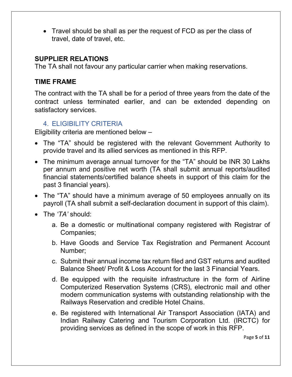• Travel should be shall as per the request of FCD as per the class of travel, date of travel, etc.

#### **SUPPLIER RELATIONS**

The TA shall not favour any particular carrier when making reservations.

#### **TIME FRAME**

The contract with the TA shall be for a period of three years from the date of the contract unless terminated earlier, and can be extended depending on satisfactory services.

#### <span id="page-5-0"></span>4. ELIGIBILITY CRITERIA

Eligibility criteria are mentioned below –

- The "TA" should be registered with the relevant Government Authority to provide travel and its allied services as mentioned in this RFP.
- The minimum average annual turnover for the "TA" should be INR 30 Lakhs per annum and positive net worth (TA shall submit annual reports/audited financial statements/certified balance sheets in support of this claim for the past 3 financial years).
- The "TA" should have a minimum average of 50 employees annually on its payroll (TA shall submit a self-declaration document in support of this claim).
- The *'TA'* should:
	- a. Be a domestic or multinational company registered with Registrar of Companies;
	- b. Have Goods and Service Tax Registration and Permanent Account Number;
	- c. Submit their annual income tax return filed and GST returns and audited Balance Sheet/ Profit & Loss Account for the last 3 Financial Years.
	- d. Be equipped with the requisite infrastructure in the form of Airline Computerized Reservation Systems (CRS), electronic mail and other modern communication systems with outstanding relationship with the Railways Reservation and credible Hotel Chains.
	- e. Be registered with International Air Transport Association (IATA) and Indian Railway Catering and Tourism Corporation Ltd. (IRCTC) for providing services as defined in the scope of work in this RFP.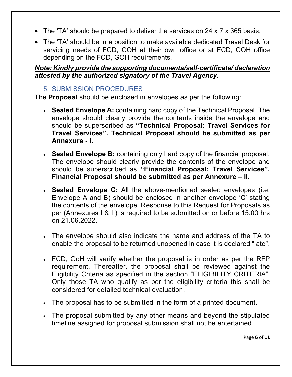- The 'TA' should be prepared to deliver the services on 24 x 7 x 365 basis.
- The 'TA' should be in a position to make available dedicated Travel Desk for servicing needs of FCD, GOH at their own office or at FCD, GOH office depending on the FCD, GOH requirements.

#### *Note: Kindly provide the supporting documents/self-certificate/ declaration attested by the authorized signatory of the Travel Agency.*

#### <span id="page-6-0"></span>5. SUBMISSION PROCEDURES

The **Proposal** should be enclosed in envelopes as per the following:

- **Sealed Envelope A:** containing hard copy of the Technical Proposal. The envelope should clearly provide the contents inside the envelope and should be superscribed as **"Technical Proposal: Travel Services for Travel Services". Technical Proposal should be submitted as per Annexure - I.**
- **Sealed Envelope B:** containing only hard copy of the financial proposal. The envelope should clearly provide the contents of the envelope and should be superscribed as **"Financial Proposal: Travel Services". Financial Proposal should be submitted as per Annexure – II.**
- **Sealed Envelope C:** All the above-mentioned sealed envelopes (i.e. Envelope A and B) should be enclosed in another envelope 'C' stating the contents of the envelope. Response to this Request for Proposals as per (Annexures I & II) is required to be submitted on or before 15:00 hrs on 21.06.2022.
- The envelope should also indicate the name and address of the TA to enable the proposal to be returned unopened in case it is declared "late".
- FCD, GoH will verify whether the proposal is in order as per the RFP requirement. Thereafter, the proposal shall be reviewed against the Eligibility Criteria as specified in the section "ELIGIBILITY CRITERIA". Only those TA who qualify as per the eligibility criteria this shall be considered for detailed technical evaluation.
- The proposal has to be submitted in the form of a printed document.
- The proposal submitted by any other means and beyond the stipulated timeline assigned for proposal submission shall not be entertained.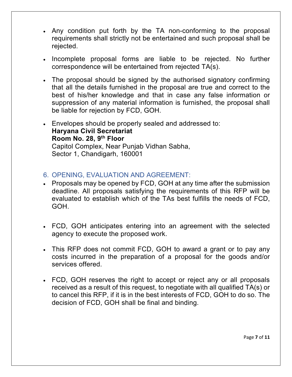- Any condition put forth by the TA non-conforming to the proposal requirements shall strictly not be entertained and such proposal shall be rejected.
- Incomplete proposal forms are liable to be rejected. No further correspondence will be entertained from rejected TA(s).
- The proposal should be signed by the authorised signatory confirming that all the details furnished in the proposal are true and correct to the best of his/her knowledge and that in case any false information or suppression of any material information is furnished, the proposal shall be liable for rejection by FCD, GOH.
- Envelopes should be properly sealed and addressed to: **Haryana Civil Secretariat Room No. 28, 9th Floor**  Capitol Complex, Near Punjab Vidhan Sabha, Sector 1, Chandigarh, 160001

#### <span id="page-7-0"></span>6. OPENING, EVALUATION AND AGREEMENT:

- Proposals may be opened by FCD, GOH at any time after the submission deadline. All proposals satisfying the requirements of this RFP will be evaluated to establish which of the TAs best fulfills the needs of FCD, GOH.
- FCD, GOH anticipates entering into an agreement with the selected agency to execute the proposed work.
- This RFP does not commit FCD, GOH to award a grant or to pay any costs incurred in the preparation of a proposal for the goods and/or services offered.
- FCD, GOH reserves the right to accept or reject any or all proposals received as a result of this request, to negotiate with all qualified TA(s) or to cancel this RFP, if it is in the best interests of FCD, GOH to do so. The decision of FCD, GOH shall be final and binding.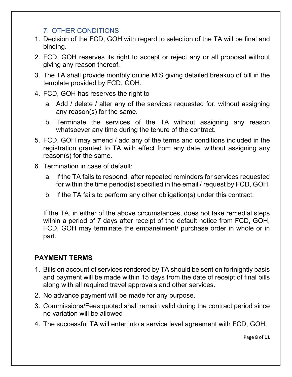#### 7. OTHER CONDITIONS

- <span id="page-8-0"></span>1. Decision of the FCD, GOH with regard to selection of the TA will be final and binding.
- 2. FCD, GOH reserves its right to accept or reject any or all proposal without giving any reason thereof.
- 3. The TA shall provide monthly online MIS giving detailed breakup of bill in the template provided by FCD, GOH.
- 4. FCD, GOH has reserves the right to
	- a. Add / delete / alter any of the services requested for, without assigning any reason(s) for the same.
	- b. Terminate the services of the TA without assigning any reason whatsoever any time during the tenure of the contract.
- 5. FCD, GOH may amend / add any of the terms and conditions included in the registration granted to TA with effect from any date, without assigning any reason(s) for the same.
- 6. Termination in case of default:
	- a. If the TA fails to respond, after repeated reminders for services requested for within the time period(s) specified in the email / request by FCD, GOH.
	- b. If the TA fails to perform any other obligation(s) under this contract.

If the TA, in either of the above circumstances, does not take remedial steps within a period of 7 days after receipt of the default notice from FCD, GOH, FCD, GOH may terminate the empanelment/ purchase order in whole or in part.

#### **PAYMENT TERMS**

- 1. Bills on account of services rendered by TA should be sent on fortnightly basis and payment will be made within 15 days from the date of receipt of final bills along with all required travel approvals and other services.
- 2. No advance payment will be made for any purpose.
- 3. Commissions/Fees quoted shall remain valid during the contract period since no variation will be allowed
- 4. The successful TA will enter into a service level agreement with FCD, GOH.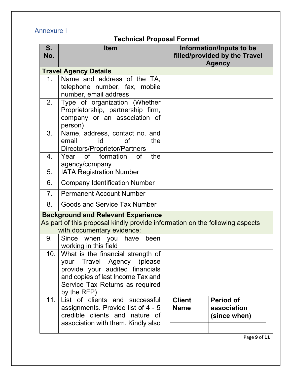### <span id="page-9-0"></span>Annexure I

## **Technical Proposal Format**

| S.<br>No.      | <b>Item</b>                                                                                                                                                                               | Information/Inputs to be<br>filled/provided by the Travel<br><b>Agency</b>      |
|----------------|-------------------------------------------------------------------------------------------------------------------------------------------------------------------------------------------|---------------------------------------------------------------------------------|
|                | <b>Travel Agency Details</b>                                                                                                                                                              |                                                                                 |
| 1 <sub>1</sub> | Name and address of the TA,<br>telephone number, fax, mobile<br>number, email address                                                                                                     |                                                                                 |
| 2.             | Type of organization (Whether<br>Proprietorship, partnership firm,<br>company or an association of<br>person)                                                                             |                                                                                 |
| 3.             | Name, address, contact no. and<br>email<br>id<br><b>of</b><br>the<br>Directors/Proprietor/Partners                                                                                        |                                                                                 |
| 4.             | Year of formation of<br>the<br>agency/company                                                                                                                                             |                                                                                 |
| 5.             | <b>IATA Registration Number</b>                                                                                                                                                           |                                                                                 |
| 6.             | <b>Company Identification Number</b>                                                                                                                                                      |                                                                                 |
| 7 <sub>1</sub> | <b>Permanent Account Number</b>                                                                                                                                                           |                                                                                 |
| 8.             | Goods and Service Tax Number                                                                                                                                                              |                                                                                 |
|                | <b>Background and Relevant Experience</b><br>As part of this proposal kindly provide information on the following aspects<br>with documentary evidence:                                   |                                                                                 |
| 9.             | Since when you<br>have<br>been<br>working in this field                                                                                                                                   |                                                                                 |
| 10.            | What is the financial strength of<br>your Travel Agency (please<br>provide your audited financials<br>and copies of last Income Tax and<br>Service Tax Returns as required<br>by the RFP) |                                                                                 |
| 11.            | List of clients and successful<br>assignments. Provide list of 4 - 5<br>credible clients and nature of<br>association with them. Kindly also                                              | <b>Client</b><br><b>Period of</b><br>association<br><b>Name</b><br>(since when) |

Page **9** of **11**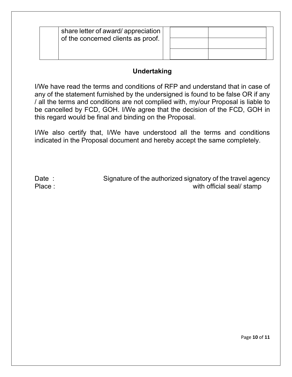| share letter of award/ appreciation<br>of the concerned clients as proof. |  |  |
|---------------------------------------------------------------------------|--|--|
|                                                                           |  |  |

#### **Undertaking**

I/We have read the terms and conditions of RFP and understand that in case of any of the statement furnished by the undersigned is found to be false OR if any / all the terms and conditions are not complied with, my/our Proposal is liable to be cancelled by FCD, GOH. I/We agree that the decision of the FCD, GOH in this regard would be final and binding on the Proposal.

I/We also certify that, I/We have understood all the terms and conditions indicated in the Proposal document and hereby accept the same completely.

<span id="page-10-0"></span>Date : Signature of the authorized signatory of the travel agency Place : with official seal/ stamp